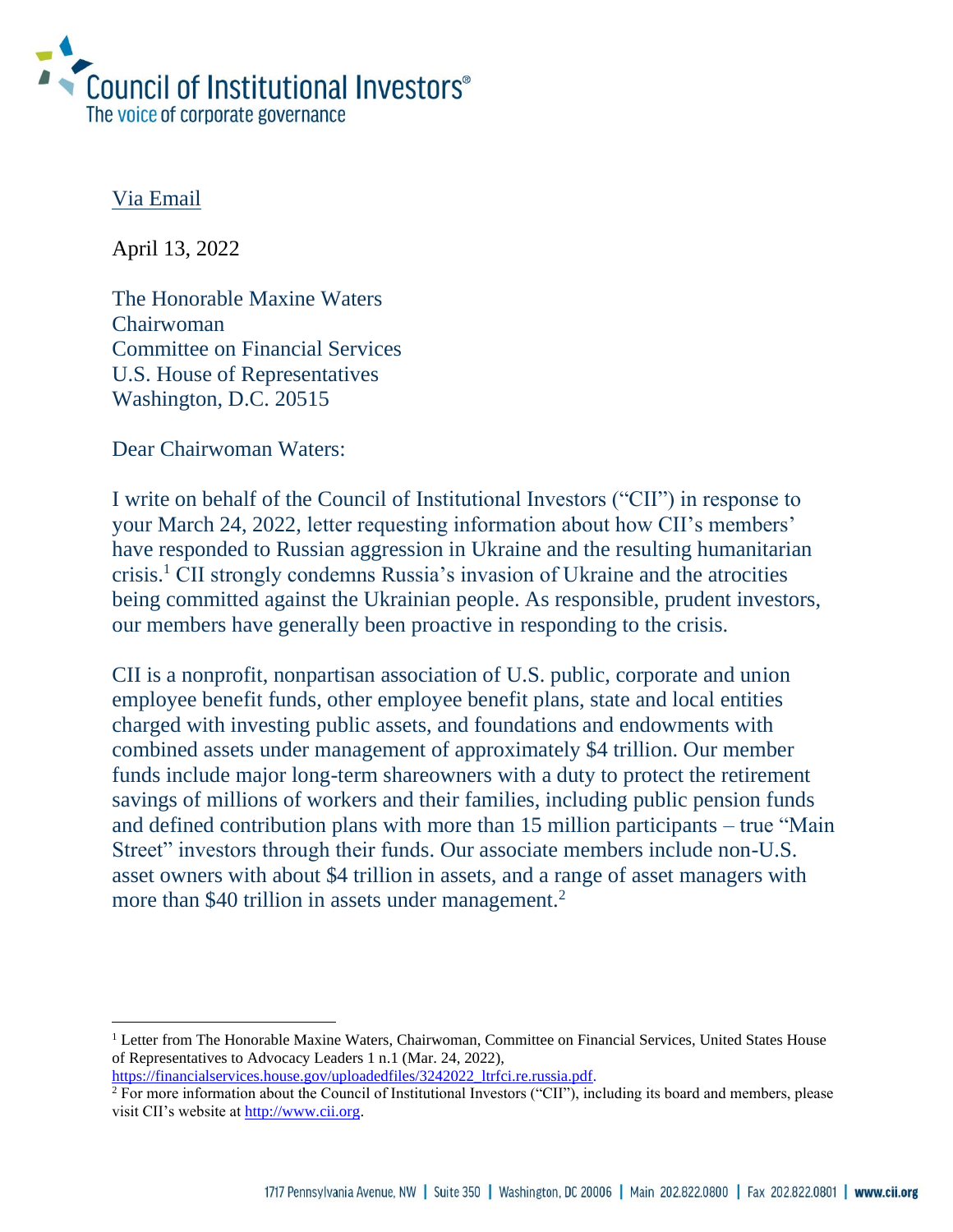

## Via Email

April 13, 2022

The Honorable Maxine Waters Chairwoman Committee on Financial Services U.S. House of Representatives Washington, D.C. 20515

Dear Chairwoman Waters:

I write on behalf of the Council of Institutional Investors ("CII") in response to your March 24, 2022, letter requesting information about how CII's members' have responded to Russian aggression in Ukraine and the resulting humanitarian crisis.<sup>1</sup> CII strongly condemns Russia's invasion of Ukraine and the atrocities being committed against the Ukrainian people. As responsible, prudent investors, our members have generally been proactive in responding to the crisis.

CII is a nonprofit, nonpartisan association of U.S. public, corporate and union employee benefit funds, other employee benefit plans, state and local entities charged with investing public assets, and foundations and endowments with combined assets under management of approximately \$4 trillion. Our member funds include major long-term shareowners with a duty to protect the retirement savings of millions of workers and their families, including public pension funds and defined contribution plans with more than 15 million participants – true "Main Street" investors through their funds. Our associate members include non-U.S. asset owners with about \$4 trillion in assets, and a range of asset managers with more than \$40 trillion in assets under management.<sup>2</sup>

<sup>&</sup>lt;sup>1</sup> Letter from The Honorable Maxine Waters, Chairwoman, Committee on Financial Services, United States House of Representatives to Advocacy Leaders 1 n.1 (Mar. 24, 2022),

[https://financialservices.house.gov/uploadedfiles/3242022\\_ltrfci.re.russia.pdf](https://financialservices.house.gov/uploadedfiles/3242022_ltrfci.re.russia.pdf)*.*

<sup>&</sup>lt;sup>2</sup> For more information about the Council of Institutional Investors ("CII"), including its board and members, please visit CII's website at [http://www.cii.org.](http://www.cii.org/)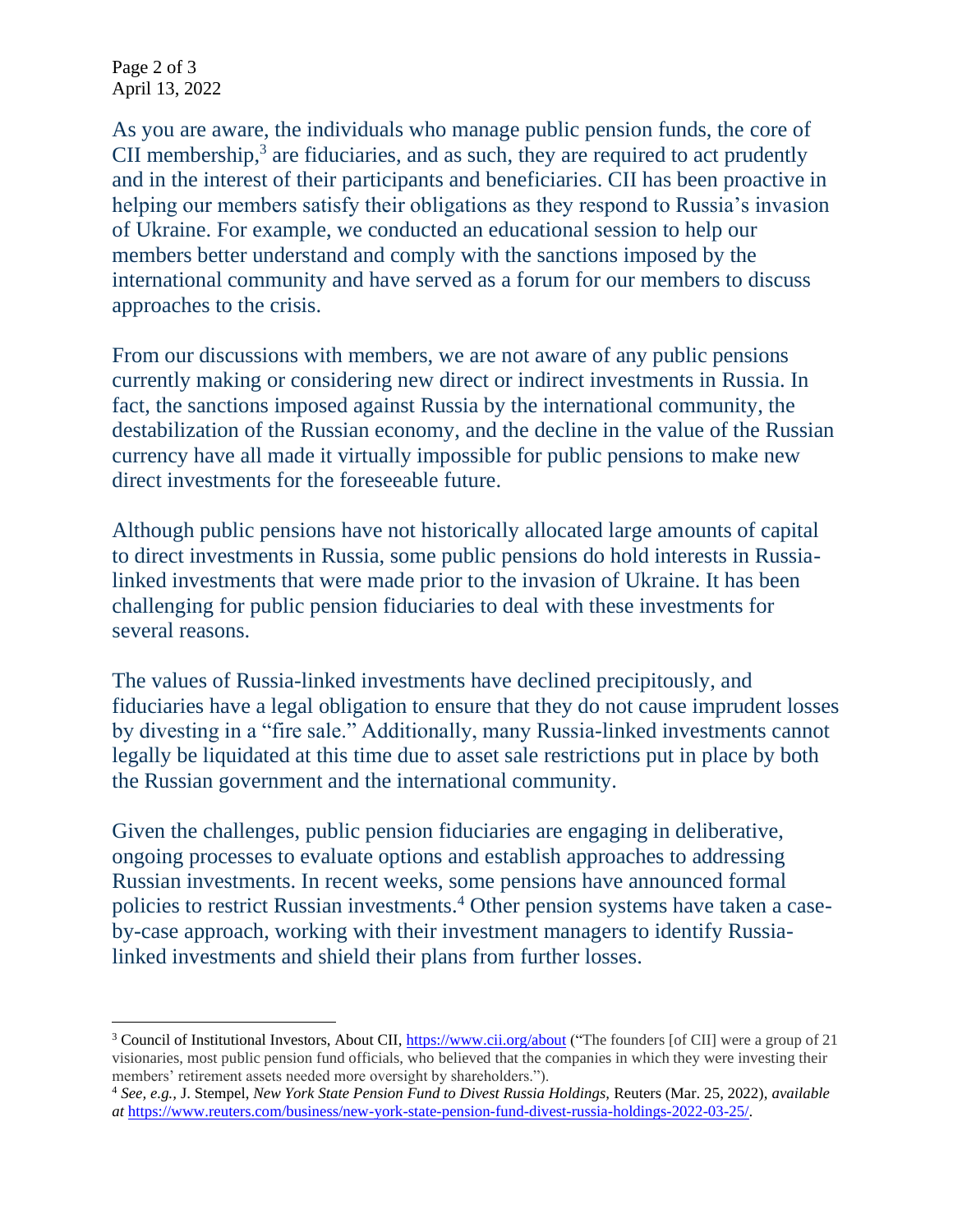Page 2 of 3 April 13, 2022

As you are aware, the individuals who manage public pension funds, the core of CII membership, $3$  are fiduciaries, and as such, they are required to act prudently and in the interest of their participants and beneficiaries. CII has been proactive in helping our members satisfy their obligations as they respond to Russia's invasion of Ukraine. For example, we conducted an educational session to help our members better understand and comply with the sanctions imposed by the international community and have served as a forum for our members to discuss approaches to the crisis.

From our discussions with members, we are not aware of any public pensions currently making or considering new direct or indirect investments in Russia. In fact, the sanctions imposed against Russia by the international community, the destabilization of the Russian economy, and the decline in the value of the Russian currency have all made it virtually impossible for public pensions to make new direct investments for the foreseeable future.

Although public pensions have not historically allocated large amounts of capital to direct investments in Russia, some public pensions do hold interests in Russialinked investments that were made prior to the invasion of Ukraine. It has been challenging for public pension fiduciaries to deal with these investments for several reasons.

The values of Russia-linked investments have declined precipitously, and fiduciaries have a legal obligation to ensure that they do not cause imprudent losses by divesting in a "fire sale." Additionally, many Russia-linked investments cannot legally be liquidated at this time due to asset sale restrictions put in place by both the Russian government and the international community.

Given the challenges, public pension fiduciaries are engaging in deliberative, ongoing processes to evaluate options and establish approaches to addressing Russian investments. In recent weeks, some pensions have announced formal policies to restrict Russian investments.<sup>4</sup> Other pension systems have taken a caseby-case approach, working with their investment managers to identify Russialinked investments and shield their plans from further losses.

<sup>&</sup>lt;sup>3</sup> Council of Institutional Investors, About CII,<https://www.cii.org/about> ("The founders [of CII] were a group of 21 visionaries, most public pension fund officials, who believed that the companies in which they were investing their members' retirement assets needed more oversight by shareholders.").

<sup>4</sup> *See, e.g.,* J. Stempel, *New York State Pension Fund to Divest Russia Holdings,* Reuters (Mar. 25, 2022), *available at* [https://www.reuters.com/business/new-york-state-pension-fund-divest-russia-holdings-2022-03-25/.](https://www.reuters.com/business/new-york-state-pension-fund-divest-russia-holdings-2022-03-25/)